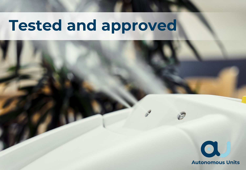# **Tested and approved**

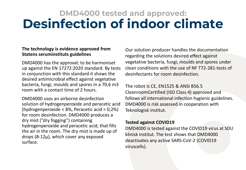## **DMD4000 tested and approved: Desinfection of indoor climate**

#### **The technology is evidence approved from Statens seruminstituts guidelines**

DMD4000 has the approval; to be harmoniset up against the EN 17272:2020 standard. By tests in conjunction with this standard it shows the desired antimicrobial effect against vegetative bacteria, fungi, moulds and spores in a 70,6 m3 room with a contact time of 2 hours.

DMD4000 uses an airborne desinfection solution of hydrogenperoxide and peracetic acid (hydrogenperoxide < 8%, Peracetic acid < 0,2%) for room desinfection. DMD4000 produces a dry mist ("dry fogging") containing hydrogenperoxide and peracetic acid, that fills the air in the room. The dry mist is made up of drops (8-12µ), which cover any exposed surface.

Our solution producer handles the documentation regarding the solutions desired effect against vegetative bacteria, fungi, moulds and spores under clean conditions with the use of NF T72-281-tests of desinfectants for room desinfection.

The robot is CE, EN1525 & ANSI B56.5 CleanroomCertified (ISO Class 4) approved and follows all international infection hygienic guidelines. DMD4000 is risk assessed in cooperation with Teknologisk institut.

#### **Tested against COVID19**

DMD4000 is tested against the COVID19 virus at SDU klinisk institut. The test shows that DMD4000 deactivates any active SARS-CoV-2 (COVID19 viruscells).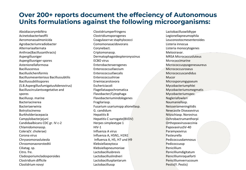#### **Over 200+ reports document the effeciency of Autonomous Units formulations against the following microorganisms:**

Absidiacorymbiféra AcinetobacterIwoffii Aeromonassalmonicida Agrobacteriumradiobacter Alternariaalternata Anthrax(Bacillusanthracis) Aspergillusniger Aspergillusniger-spores Astenionellaformosa Bacilluscereus Bacilluslicheniformis Bacillusmesenterious Bacillussubtilis Bacillussubtilisspores (S.B.AspergillusfumigatusAdenovirus) Bacilluscirculantsvegetative and spores Bacillussp. marine Bacteriacinerea Bacteriaerwinia Botrytiscinerea Burkholderiacepacia Campylobacterjejuni Candidaalbicans CDC gr. IV c-2 Chlamidomonassp. Colera(V. cholerae) Corona virus Chryseomonasluteola Chroomonasnorstedtii Ciliatag. sp. Citro. fre. Cladosporiumcladosporoides Clostridium difficile Clostidrium novyi

Clostidriumperfringens Clostridiumsporogenes Coagulase+ve staphylococci Comomonasacidovorans Corynebact. Criptomonassp. Dermatophagoidespteronyssinus ECBO virus Enterobacteraerogenes Enterococcusfaecium Enterococcusfaecalis Enterococcushirae Erwiniacarotovora Eschericiacoli Flagellataapochromatica Flavobacter/Cytophaga Flavobacteriumindologenes Fragilariasp. Fusarium usariumspp alionellasp. G. candidum Hepatitis B Hepatitis C surrogate(BVDV) Herpes simplextype 1  $HIV-1$ Influenza A virus Influenza A, H5N1, H1N1 Influenza A, H5, H7 und H9 Klebsiellaoxytoca Klebsiellapneumoniae Lactobacillusbrevis Lactobacilluslindneri Lactobacillusplantarum Lactobacillussp

Lactobacilluswildtype Legionellapneumophila Leuconostocmesenteroides Listeria innocua Listeria monocytogenes Melosiravar. MRSA Micrococcusluteus Mcrococcimarine Micrococcuspyogenesaureus Micrococcusroseus Micrococcuscandidus Mucor Microsporumgypseum Mycobacteriumphlei Mycobacteriumsmegmatis Mycobacteriumspez. Nagleriafowleri Naumaniellasp. Neisseriameningitidis Newcastle Diseasevirus Nitzschiasp. Norovirus Ochrobactrumanthorpi Orthopoxvirusvaccinia PapovavirusSV-40 Paramyxovirus Pasteurella Pedicoccusdamnosus Pedicoccussp Penicillium Penicilliumdigitatum Penicilliumroqueforti Penicilliumverrucosum Pestis(Y. Pestis)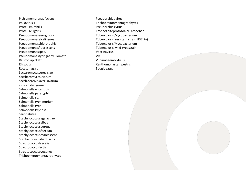Pichiamembranaefaciens Poliovirus 1 Proteusmirabilis Proteusvulgaris Pseudomonasaeruginosa Pseudomonasalcaligenes Pseudomonaschlororaphis Pseudomonasfluorescens Pseudomonasspec. Pseudomonassyringaepv. Tomato Ralstoniapicketti Rhizopus Rotatoriag. sp. Saccaromycescerevisiae Saccharomycesuvarum Sacch.cereivisiavar. uvarum ssp.carlsbergensis Salmonella enteritidis Salmonella paratyphi Salmonella sp. Salmonella typhimurium Salmonella typhi Salmonella typhosa **Sarcinalutea** Staphylococcusagalactiae Staphylococcusalbus Staphylococcusaureus Staphylococcusfaecium Staphylococcusmarcescens Stephanodiscushantzschii Streptococcusfaecalis Streptococcuslactis Streptococcuspyogenes Trichophytonmentagrophytes

Pseudorabies virus Trichophytonmentagrophytes Pseudorabies virus Trophozoiteprotozoainl. Amoebae Tuberculosis(Mycobacterium Tuberculosis, resistant strain H37 Rv) Tuberculosis(Mycobacterium Tuberculosis, wild-typestrain) Vaccinavirus VRE V. parahaemolyticus Xanthomonascampestris Zoogloeasp.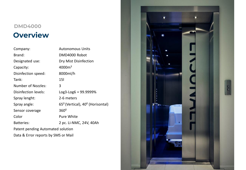## **Overview DMD4000**

| Company:                            | <b>Autonomous Units</b>                                  |  |
|-------------------------------------|----------------------------------------------------------|--|
| Brand:                              | DMD4000 Robot                                            |  |
| Designated use:                     | Dry Mist Disinfection                                    |  |
| Capacity:                           | 4000m <sup>3</sup>                                       |  |
| Disinfection speed:                 | 8000ml/h                                                 |  |
| Tank:                               | 15I                                                      |  |
| <b>Number of Nozzles:</b>           | 3                                                        |  |
| Disinfection levels:                | $Log3 - Log6 = 99.9999\%$                                |  |
| Spray lenght:                       | 2-6 meters                                               |  |
| Spray angle:                        | 65 <sup>0</sup> (Vertical), 40 <sup>0</sup> (Horisontal) |  |
| Sensor coverage                     | $360^0$                                                  |  |
| Color                               | <b>Pure White</b>                                        |  |
| <b>Batteries:</b>                   | 2 pc. Li-NMC, 24V, 40Ah                                  |  |
| Patent pending Automated solution   |                                                          |  |
| Data & Error reports by SMS or Mail |                                                          |  |

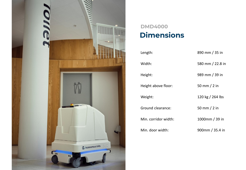

## **Dimensions DMD4000**

| Length:              | 890 mm / 35 in    |
|----------------------|-------------------|
| Width:               | 580 mm / 22.8 in  |
| Height:              | 989 mm / 39 in    |
| Height above floor:  | 50 mm $/$ 2 in    |
| Weight:              | 120 kg / 264 lbs  |
| Ground clearance:    | 50 mm $/$ 2 in    |
| Min. corridor width: | 1000mm / 39 in    |
| Min. door width:     | 900mm / $35.4$ in |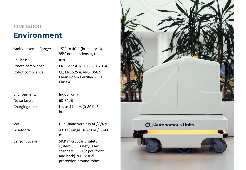### **Environment DMD4000**

| Ambient temp. Range |
|---------------------|
| <b>IP Class:</b>    |
| Proces compliance:  |
| Robot compliance:   |

Environment: Indoor only Noise level: 60-74dB

 $Re:$  +5°C to 40°C (humidity 10-95% non-condensing)  $IP20$ Proces compliance: EN17272 & NFT 72 281:2014 CE, EN1525 & ANSI B56.5 Clean Room Certified (ISO Class 4)

Charging time Up to 4 hours (0-80%: 3 hours)

Wifi: Dual-band wireless AC/G/N/B Bluetooth: 4.0 LE, range: 10-20 m / 33-66 ft.

Sensor covage: SICK microScan3 safety system SICK safety laser scanners S300 (2 pcs. front and back) 360° visual protection around robot